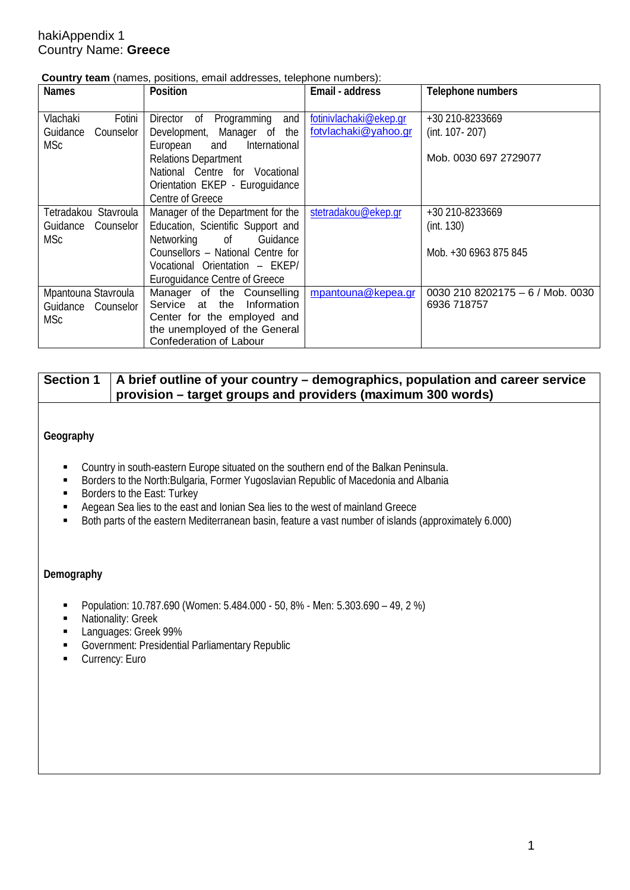### hakiAppendix 1 Country Name: **Greece**

| Country team (names, positions, email addresses, telephone numbers): |  |  |  |  |  |  |
|----------------------------------------------------------------------|--|--|--|--|--|--|
|----------------------------------------------------------------------|--|--|--|--|--|--|

| <b>Names</b>                        | Position                                                          | Email - address        | Telephone numbers                |
|-------------------------------------|-------------------------------------------------------------------|------------------------|----------------------------------|
| Vlachaki<br>Fotini                  | Director of Programming<br>and                                    | fotinivlachaki@ekep.gr | +30 210-8233669                  |
| Guidance<br>Counselor<br><b>MSc</b> | Development, Manager of the<br>and International<br>European      | fotylachaki@yahoo.gr   | (int. 107-207)                   |
|                                     | <b>Relations Department</b>                                       |                        | Mob. 0030 697 2729077            |
|                                     | National Centre for Vocational<br>Orientation EKEP - Euroquidance |                        |                                  |
|                                     | Centre of Greece                                                  |                        |                                  |
| Tetradakou Stavroula                | Manager of the Department for the                                 | stetradakou@ekep.gr    | +30 210-8233669                  |
| Guidance<br>Counselor               | Education, Scientific Support and                                 |                        | (int. 130)                       |
| <b>MSc</b>                          | Networking of Guidance                                            |                        |                                  |
|                                     | Counsellors - National Centre for                                 |                        | Mob. +30 6963 875 845            |
|                                     | Vocational Orientation - EKEP/                                    |                        |                                  |
|                                     | <b>Euroguidance Centre of Greece</b>                              |                        |                                  |
| Mpantouna Stavroula                 | Manager of the Counselling                                        | mpantouna@kepea.gr     | 0030 210 8202175 - 6 / Mob. 0030 |
| Guidance Counselor                  | Service at the<br>Information                                     |                        | 6936 718757                      |
| <b>MSc</b>                          | Center for the employed and                                       |                        |                                  |
|                                     | the unemployed of the General                                     |                        |                                  |
|                                     | Confederation of Labour                                           |                        |                                  |

## **Section 1 A brief outline of your country – demographics, population and career service provision – target groups and providers (maximum 300 words)**

#### **Geography**

- Country in south-eastern Europe situated on the southern end of the Balkan Peninsula.<br>■ Rorders to the North Bulgaria Former Yugoslavian Republic of Macedonia and Albania
- Borders to the North:Bulgaria, Former Yugoslavian Republic of Macedonia and Albania<br>
Borders to the Fast: Turkey
- Borders to the East: Turkey
- Aegean Sea lies to the east and Ionian Sea lies to the west of mainland Greece
- Both parts of the eastern Mediterranean basin, feature a vast number of islands (approximately 6.000)

#### **Demography**

- Population: 10.787.690 (Women: 5.484.000 50, 8% Men: 5.303.690 49, 2%)
- **Nationality: Greek**
- **Languages: Greek 99%**
- Government: Presidential Parliamentary Republic
- **Currency: Euro**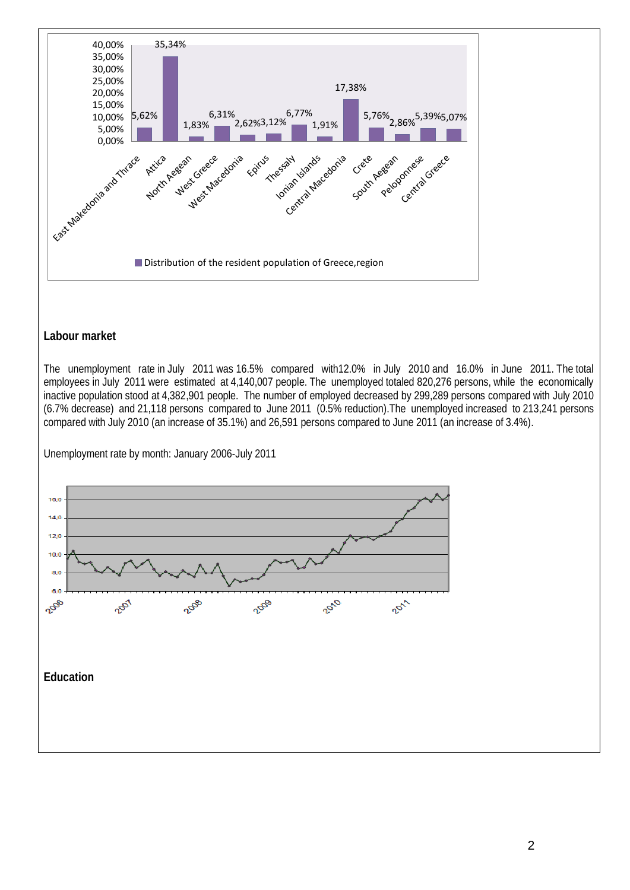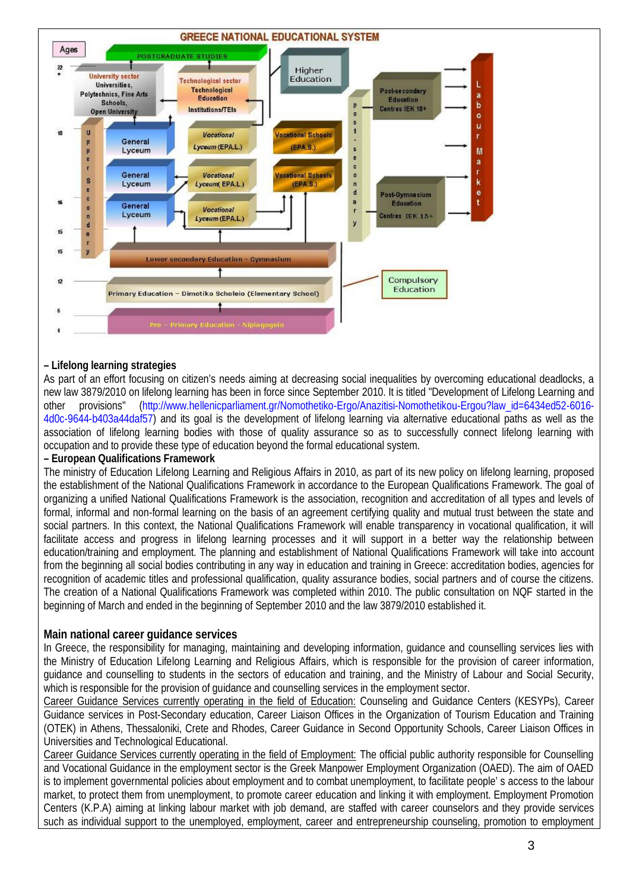

#### **– Lifelong learning strategies**

As part of an effort focusing on citizen's needs aiming at decreasing social inequalities by overcoming educational deadlocks, a new law 3879/2010 on lifelong learning has been in force since September 2010. It is titled "Development of Lifelong Learning and other provisions" (http://www.hellenicparliament.gr/Nomothetiko-Ergo/Anazitisi-Nomothetikou-Ergou?law\_id=6434ed52-6016- 4d0c-9644-b403a44daf57) and its goal is the development of lifelong learning via alternative educational paths as well as the association of lifelong learning bodies with those of quality assurance so as to successfully connect lifelong learning with occupation and to provide these type of education beyond the formal educational system.

#### **– European Qualifications Framework**

The ministry of Education Lifelong Learning and Religious Affairs in 2010, as part of its new policy on lifelong learning, proposed the establishment of the National Qualifications Framework in accordance to the European Qualifications Framework. The goal of organizing a unified National Qualifications Framework is the association, recognition and accreditation of all types and levels of formal, informal and non-formal learning on the basis of an agreement certifying quality and mutual trust between the state and social partners. In this context, the National Qualifications Framework will enable transparency in vocational qualification, it will facilitate access and progress in lifelong learning processes and it will support in a better way the relationship between education/training and employment. The planning and establishment of National Qualifications Framework will take into account from the beginning all social bodies contributing in any way in education and training in Greece: accreditation bodies, agencies for recognition of academic titles and professional qualification, quality assurance bodies, social partners and of course the citizens. The creation of a National Qualifications Framework was completed within 2010. The public consultation on NQF started in the beginning of March and ended in the beginning of September 2010 and the law 3879/2010 established it.

#### **Main national career guidance services**

In Greece, the responsibility for managing, maintaining and developing information, guidance and counselling services lies with the Ministry of Education Lifelong Learning and Religious Affairs, which is responsible for the provision of career information, guidance and counselling to students in the sectors of education and training, and the Ministry of Labour and Social Security, which is responsible for the provision of guidance and counselling services in the employment sector.

Career Guidance Services currently operating in the field of Education: Counseling and Guidance Centers (KESYPs), Career Guidance services in Post-Secondary education, Career Liaison Offices in the Organization of Tourism Education and Training (OTEK) in Athens, Thessaloniki, Crete and Rhodes, Career Guidance in Second Opportunity Schools, Career Liaison Offices in Universities and Technological Educational.

Career Guidance Services currently operating in the field of Employment: The official public authority responsible for Counselling and Vocational Guidance in the employment sector is the Greek Manpower Employment Organization (OAED). The aim of OAED is to implement governmental policies about employment and to combat unemployment, to facilitate people' s access to the labour market, to protect them from unemployment, to promote career education and linking it with employment. Employment Promotion Centers (K.P.A) aiming at linking labour market with job demand, are staffed with career counselors and they provide services such as individual support to the unemployed, employment, career and entrepreneurship counseling, promotion to employment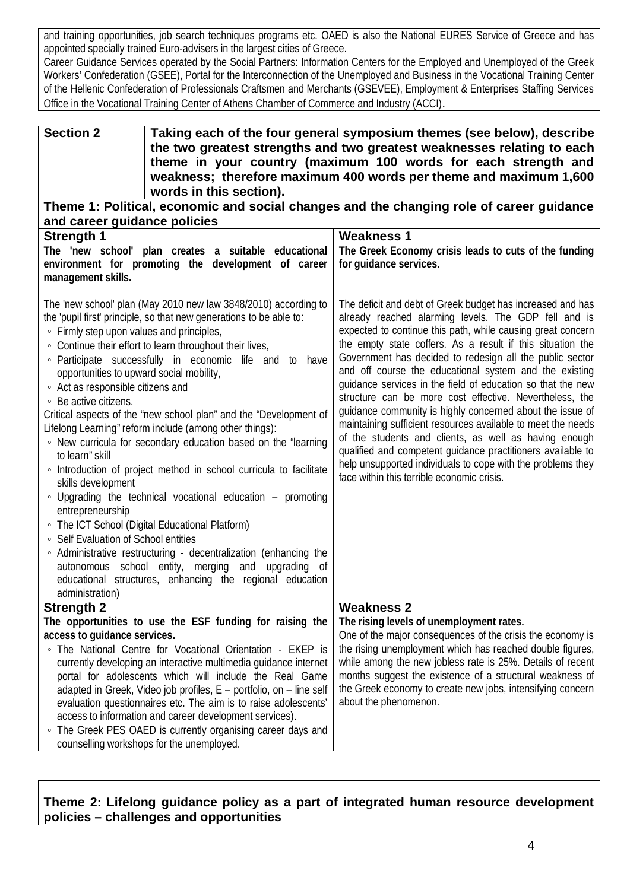and training opportunities, job search techniques programs etc. OAED is also the National EURES Service of Greece and has appointed specially trained Euro-advisers in the largest cities of Greece.

Career Guidance Services operated by the Social Partners: Information Centers for the Employed and Unemployed of the Greek Workers' Confederation (GSEE), Portal for the Interconnection of the Unemployed and Business in the Vocational Training Center of the Hellenic Confederation of Professionals Craftsmen and Merchants (GSEVEE), Employment & Enterprises Staffing Services Office in the Vocational Training Center of Athens Chamber of Commerce and Industry (ACCI).

#### **Section 2 Taking each of the four general symposium themes (see below), describe the two greatest strengths and two greatest weaknesses relating to each theme in your country (maximum 100 words for each strength and weakness; therefore maximum 400 words per theme and maximum 1,600 words in this section).**

## **Theme 1: Political, economic and social changes and the changing role of career guidance and career guidance policies**

| <b>Strength 1</b>                                                                                                                                                                                                                                                                                                                                                                                                                                                                                                                                                                                                                                                                                                                                                                                                                                                                                                                                                                                                                                                                                                                    | <b>Weakness 1</b>                                                                                                                                                                                                                                                                                                                                                                                                                                                                                                                                                                                                                                                                                                                                                                                                                                                 |  |  |
|--------------------------------------------------------------------------------------------------------------------------------------------------------------------------------------------------------------------------------------------------------------------------------------------------------------------------------------------------------------------------------------------------------------------------------------------------------------------------------------------------------------------------------------------------------------------------------------------------------------------------------------------------------------------------------------------------------------------------------------------------------------------------------------------------------------------------------------------------------------------------------------------------------------------------------------------------------------------------------------------------------------------------------------------------------------------------------------------------------------------------------------|-------------------------------------------------------------------------------------------------------------------------------------------------------------------------------------------------------------------------------------------------------------------------------------------------------------------------------------------------------------------------------------------------------------------------------------------------------------------------------------------------------------------------------------------------------------------------------------------------------------------------------------------------------------------------------------------------------------------------------------------------------------------------------------------------------------------------------------------------------------------|--|--|
| The 'new school' plan creates a suitable educational                                                                                                                                                                                                                                                                                                                                                                                                                                                                                                                                                                                                                                                                                                                                                                                                                                                                                                                                                                                                                                                                                 | The Greek Economy crisis leads to cuts of the funding                                                                                                                                                                                                                                                                                                                                                                                                                                                                                                                                                                                                                                                                                                                                                                                                             |  |  |
| environment for promoting the development of career                                                                                                                                                                                                                                                                                                                                                                                                                                                                                                                                                                                                                                                                                                                                                                                                                                                                                                                                                                                                                                                                                  | for guidance services.                                                                                                                                                                                                                                                                                                                                                                                                                                                                                                                                                                                                                                                                                                                                                                                                                                            |  |  |
| management skills.                                                                                                                                                                                                                                                                                                                                                                                                                                                                                                                                                                                                                                                                                                                                                                                                                                                                                                                                                                                                                                                                                                                   |                                                                                                                                                                                                                                                                                                                                                                                                                                                                                                                                                                                                                                                                                                                                                                                                                                                                   |  |  |
| The 'new school' plan (May 2010 new law 3848/2010) according to<br>the 'pupil first' principle, so that new generations to be able to:<br>• Firmly step upon values and principles,<br>• Continue their effort to learn throughout their lives,<br>· Participate successfully in economic life and to<br>have<br>opportunities to upward social mobility,<br>• Act as responsible citizens and<br>◦ Be active citizens.<br>Critical aspects of the "new school plan" and the "Development of<br>Lifelong Learning" reform include (among other things):<br>• New curricula for secondary education based on the "learning<br>to learn" skill<br>• Introduction of project method in school curricula to facilitate<br>skills development<br>• Upgrading the technical vocational education - promoting<br>entrepreneurship<br>• The ICT School (Digital Educational Platform)<br>• Self Evaluation of School entities<br>• Administrative restructuring - decentralization (enhancing the<br>autonomous school entity, merging<br>and<br>upgrading of<br>educational structures, enhancing the regional education<br>administration) | The deficit and debt of Greek budget has increased and has<br>already reached alarming levels. The GDP fell and is<br>expected to continue this path, while causing great concern<br>the empty state coffers. As a result if this situation the<br>Government has decided to redesign all the public sector<br>and off course the educational system and the existing<br>guidance services in the field of education so that the new<br>structure can be more cost effective. Nevertheless, the<br>guidance community is highly concerned about the issue of<br>maintaining sufficient resources available to meet the needs<br>of the students and clients, as well as having enough<br>qualified and competent guidance practitioners available to<br>help unsupported individuals to cope with the problems they<br>face within this terrible economic crisis. |  |  |
| <b>Strength 2</b>                                                                                                                                                                                                                                                                                                                                                                                                                                                                                                                                                                                                                                                                                                                                                                                                                                                                                                                                                                                                                                                                                                                    | <b>Weakness 2</b>                                                                                                                                                                                                                                                                                                                                                                                                                                                                                                                                                                                                                                                                                                                                                                                                                                                 |  |  |
| The opportunities to use the ESF funding for raising the                                                                                                                                                                                                                                                                                                                                                                                                                                                                                                                                                                                                                                                                                                                                                                                                                                                                                                                                                                                                                                                                             | The rising levels of unemployment rates.                                                                                                                                                                                                                                                                                                                                                                                                                                                                                                                                                                                                                                                                                                                                                                                                                          |  |  |
| access to guidance services.                                                                                                                                                                                                                                                                                                                                                                                                                                                                                                                                                                                                                                                                                                                                                                                                                                                                                                                                                                                                                                                                                                         | One of the major consequences of the crisis the economy is                                                                                                                                                                                                                                                                                                                                                                                                                                                                                                                                                                                                                                                                                                                                                                                                        |  |  |
| • The National Centre for Vocational Orientation - EKEP is<br>currently developing an interactive multimedia guidance internet                                                                                                                                                                                                                                                                                                                                                                                                                                                                                                                                                                                                                                                                                                                                                                                                                                                                                                                                                                                                       | the rising unemployment which has reached double figures,<br>while among the new jobless rate is 25%. Details of recent                                                                                                                                                                                                                                                                                                                                                                                                                                                                                                                                                                                                                                                                                                                                           |  |  |
| portal for adolescents which will include the Real Game                                                                                                                                                                                                                                                                                                                                                                                                                                                                                                                                                                                                                                                                                                                                                                                                                                                                                                                                                                                                                                                                              | months suggest the existence of a structural weakness of                                                                                                                                                                                                                                                                                                                                                                                                                                                                                                                                                                                                                                                                                                                                                                                                          |  |  |
| adapted in Greek, Video job profiles, E - portfolio, on - line self                                                                                                                                                                                                                                                                                                                                                                                                                                                                                                                                                                                                                                                                                                                                                                                                                                                                                                                                                                                                                                                                  | the Greek economy to create new jobs, intensifying concern                                                                                                                                                                                                                                                                                                                                                                                                                                                                                                                                                                                                                                                                                                                                                                                                        |  |  |
| evaluation questionnaires etc. The aim is to raise adolescents'                                                                                                                                                                                                                                                                                                                                                                                                                                                                                                                                                                                                                                                                                                                                                                                                                                                                                                                                                                                                                                                                      | about the phenomenon.                                                                                                                                                                                                                                                                                                                                                                                                                                                                                                                                                                                                                                                                                                                                                                                                                                             |  |  |
| access to information and career development services).                                                                                                                                                                                                                                                                                                                                                                                                                                                                                                                                                                                                                                                                                                                                                                                                                                                                                                                                                                                                                                                                              |                                                                                                                                                                                                                                                                                                                                                                                                                                                                                                                                                                                                                                                                                                                                                                                                                                                                   |  |  |
| • The Greek PES OAED is currently organising career days and                                                                                                                                                                                                                                                                                                                                                                                                                                                                                                                                                                                                                                                                                                                                                                                                                                                                                                                                                                                                                                                                         |                                                                                                                                                                                                                                                                                                                                                                                                                                                                                                                                                                                                                                                                                                                                                                                                                                                                   |  |  |
| counselling workshops for the unemployed.                                                                                                                                                                                                                                                                                                                                                                                                                                                                                                                                                                                                                                                                                                                                                                                                                                                                                                                                                                                                                                                                                            |                                                                                                                                                                                                                                                                                                                                                                                                                                                                                                                                                                                                                                                                                                                                                                                                                                                                   |  |  |

## **Theme 2: Lifelong guidance policy as a part of integrated human resource development policies – challenges and opportunities**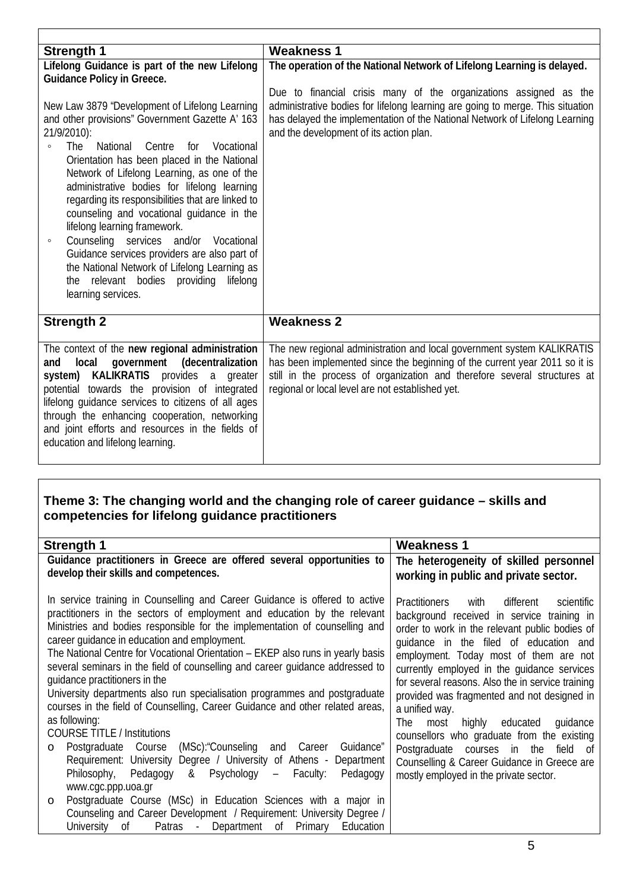| <b>Strength 1</b>                                                         | <b>Weakness 1</b>                                                              |  |  |  |  |  |
|---------------------------------------------------------------------------|--------------------------------------------------------------------------------|--|--|--|--|--|
| Lifelong Guidance is part of the new Lifelong                             | The operation of the National Network of Lifelong Learning is delayed.         |  |  |  |  |  |
| <b>Guidance Policy in Greece.</b>                                         |                                                                                |  |  |  |  |  |
|                                                                           | Due to financial crisis many of the organizations assigned as the              |  |  |  |  |  |
| New Law 3879 "Development of Lifelong Learning                            | administrative bodies for lifelong learning are going to merge. This situation |  |  |  |  |  |
| and other provisions" Government Gazette A' 163                           | has delayed the implementation of the National Network of Lifelong Learning    |  |  |  |  |  |
| 21/9/2010):                                                               | and the development of its action plan.                                        |  |  |  |  |  |
| National<br>Vocational<br>The<br>Centre<br>for<br>$\circ$                 |                                                                                |  |  |  |  |  |
| Orientation has been placed in the National                               |                                                                                |  |  |  |  |  |
| Network of Lifelong Learning, as one of the                               |                                                                                |  |  |  |  |  |
| administrative bodies for lifelong learning                               |                                                                                |  |  |  |  |  |
| regarding its responsibilities that are linked to                         |                                                                                |  |  |  |  |  |
| counseling and vocational guidance in the<br>lifelong learning framework. |                                                                                |  |  |  |  |  |
| Counseling services and/or Vocational<br>$\circ$                          |                                                                                |  |  |  |  |  |
| Guidance services providers are also part of                              |                                                                                |  |  |  |  |  |
| the National Network of Lifelong Learning as                              |                                                                                |  |  |  |  |  |
| the relevant bodies providing<br>lifelong                                 |                                                                                |  |  |  |  |  |
| learning services.                                                        |                                                                                |  |  |  |  |  |
|                                                                           |                                                                                |  |  |  |  |  |
| <b>Strength 2</b>                                                         | <b>Weakness 2</b>                                                              |  |  |  |  |  |
|                                                                           |                                                                                |  |  |  |  |  |
| The context of the new regional administration                            | The new regional administration and local government system KALIKRATIS         |  |  |  |  |  |
| local<br>government (decentralization<br>and                              | has been implemented since the beginning of the current year 2011 so it is     |  |  |  |  |  |
| system) KALIKRATIS provides a greater                                     | still in the process of organization and therefore several structures at       |  |  |  |  |  |
| potential towards the provision of integrated                             | regional or local level are not established yet.                               |  |  |  |  |  |
| lifelong guidance services to citizens of all ages                        |                                                                                |  |  |  |  |  |
| through the enhancing cooperation, networking                             |                                                                                |  |  |  |  |  |
| and joint efforts and resources in the fields of                          |                                                                                |  |  |  |  |  |
| education and lifelong learning.                                          |                                                                                |  |  |  |  |  |
|                                                                           |                                                                                |  |  |  |  |  |

### **Theme 3: The changing world and the changing role of career guidance – skills and competencies for lifelong guidance practitioners**

| Guidance practitioners in Greece are offered several opportunities to                                                                                                                                                                                                                                                                                                                                                                                                                                                                                                                                                                                                                                                                                                                                                                                                                                                                                                                                                                                                                                                                                                                                                                                    | The heterogeneity of skilled personnel                                                                                                                                                                                                                                                                                                                                                                                                                                                                                                                                                    |
|----------------------------------------------------------------------------------------------------------------------------------------------------------------------------------------------------------------------------------------------------------------------------------------------------------------------------------------------------------------------------------------------------------------------------------------------------------------------------------------------------------------------------------------------------------------------------------------------------------------------------------------------------------------------------------------------------------------------------------------------------------------------------------------------------------------------------------------------------------------------------------------------------------------------------------------------------------------------------------------------------------------------------------------------------------------------------------------------------------------------------------------------------------------------------------------------------------------------------------------------------------|-------------------------------------------------------------------------------------------------------------------------------------------------------------------------------------------------------------------------------------------------------------------------------------------------------------------------------------------------------------------------------------------------------------------------------------------------------------------------------------------------------------------------------------------------------------------------------------------|
| develop their skills and competences.                                                                                                                                                                                                                                                                                                                                                                                                                                                                                                                                                                                                                                                                                                                                                                                                                                                                                                                                                                                                                                                                                                                                                                                                                    | working in public and private sector.                                                                                                                                                                                                                                                                                                                                                                                                                                                                                                                                                     |
| In service training in Counselling and Career Guidance is offered to active<br><b>Practitioners</b><br>practitioners in the sectors of employment and education by the relevant<br>Ministries and bodies responsible for the implementation of counselling and<br>career quidance in education and employment.<br>The National Centre for Vocational Orientation - EKEP also runs in yearly basis<br>several seminars in the field of counselling and career guidance addressed to<br>quidance practitioners in the<br>University departments also run specialisation programmes and postgraduate<br>courses in the field of Counselling, Career Guidance and other related areas,<br>a unified way.<br>as following:<br>The<br><b>COURSE TITLE / Institutions</b><br>Postgraduate Course<br>(MSc): "Counseling and Career<br>Guidance"<br>$\circ$<br>Requirement: University Degree / University of Athens - Department<br>Psychology<br>Philosophy,<br>Pedagogy<br>&<br>$\frac{1}{2}$<br>Pedagogy<br>Faculty:<br>www.cgc.ppp.uoa.gr<br>Postgraduate Course (MSc) in Education Sciences with a major in<br>$\circ$<br>Counseling and Career Development / Requirement: University Degree /<br>University of Patras - Department of Primary<br>Education | with<br>different<br>scientific<br>background received in service training in<br>order to work in the relevant public bodies of<br>quidance in the filed of education and<br>employment. Today most of them are not<br>currently employed in the quidance services<br>for several reasons. Also the in service training<br>provided was fragmented and not designed in<br>highly educated guidance<br>most<br>counsellors who graduate from the existing<br>Postgraduate courses in the field of<br>Counselling & Career Guidance in Greece are<br>mostly employed in the private sector. |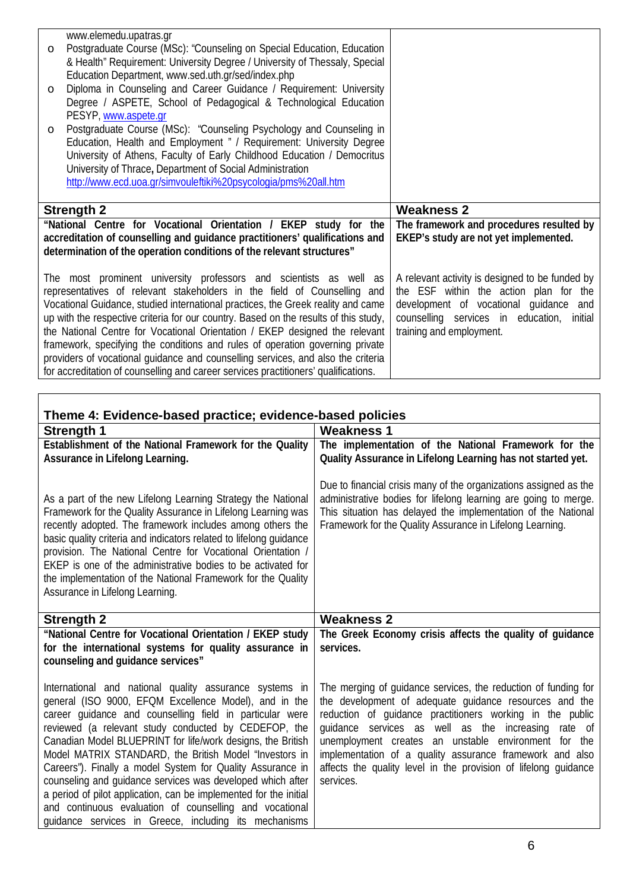| $\circ$<br>$\circ$ | www.elemedu.upatras.gr<br>Postgraduate Course (MSc): "Counseling on Special Education, Education<br>& Health" Requirement: University Degree / University of Thessaly, Special<br>Education Department, www.sed.uth.gr/sed/index.php<br>Diploma in Counseling and Career Guidance / Requirement: University<br>Degree / ASPETE, School of Pedagogical & Technological Education |                                                                                   |
|--------------------|---------------------------------------------------------------------------------------------------------------------------------------------------------------------------------------------------------------------------------------------------------------------------------------------------------------------------------------------------------------------------------|-----------------------------------------------------------------------------------|
| $\circ$            | PESYP, www.aspete.gr<br>Postgraduate Course (MSc): "Counseling Psychology and Counseling in<br>Education, Health and Employment " / Requirement: University Degree<br>University of Athens, Faculty of Early Childhood Education / Democritus<br>University of Thrace, Department of Social Administration<br>http://www.ecd.uoa.gr/simvouleftiki%20psycologia/pms%20all.htm    |                                                                                   |
|                    |                                                                                                                                                                                                                                                                                                                                                                                 |                                                                                   |
|                    | <b>Strength 2</b>                                                                                                                                                                                                                                                                                                                                                               | <b>Weakness 2</b>                                                                 |
|                    | "National Centre for Vocational Orientation / EKEP study for the<br>accreditation of counselling and guidance practitioners' qualifications and<br>determination of the operation conditions of the relevant structures"                                                                                                                                                        | The framework and procedures resulted by<br>EKEP's study are not yet implemented. |

| Theme 4: Evidence-based practice; evidence-based policies                                                                                                                                                                                                                                                                                                                                                                                                                                                                                                                                                                                                                          |                                                                                                                                                                                                                                                                                                                                                                                                                                                     |  |  |  |
|------------------------------------------------------------------------------------------------------------------------------------------------------------------------------------------------------------------------------------------------------------------------------------------------------------------------------------------------------------------------------------------------------------------------------------------------------------------------------------------------------------------------------------------------------------------------------------------------------------------------------------------------------------------------------------|-----------------------------------------------------------------------------------------------------------------------------------------------------------------------------------------------------------------------------------------------------------------------------------------------------------------------------------------------------------------------------------------------------------------------------------------------------|--|--|--|
| <b>Strength 1</b>                                                                                                                                                                                                                                                                                                                                                                                                                                                                                                                                                                                                                                                                  | <b>Weakness 1</b>                                                                                                                                                                                                                                                                                                                                                                                                                                   |  |  |  |
| Establishment of the National Framework for the Quality<br>Assurance in Lifelong Learning.                                                                                                                                                                                                                                                                                                                                                                                                                                                                                                                                                                                         | The implementation of the National Framework for the<br>Quality Assurance in Lifelong Learning has not started yet.                                                                                                                                                                                                                                                                                                                                 |  |  |  |
| As a part of the new Lifelong Learning Strategy the National<br>Framework for the Quality Assurance in Lifelong Learning was<br>recently adopted. The framework includes among others the<br>basic quality criteria and indicators related to lifelong guidance<br>provision. The National Centre for Vocational Orientation /<br>EKEP is one of the administrative bodies to be activated for<br>the implementation of the National Framework for the Quality<br>Assurance in Lifelong Learning.                                                                                                                                                                                  | Due to financial crisis many of the organizations assigned as the<br>administrative bodies for lifelong learning are going to merge.<br>This situation has delayed the implementation of the National<br>Framework for the Quality Assurance in Lifelong Learning.                                                                                                                                                                                  |  |  |  |
| <b>Strength 2</b>                                                                                                                                                                                                                                                                                                                                                                                                                                                                                                                                                                                                                                                                  | <b>Weakness 2</b>                                                                                                                                                                                                                                                                                                                                                                                                                                   |  |  |  |
| "National Centre for Vocational Orientation / EKEP study<br>for the international systems for quality assurance in<br>counseling and guidance services"                                                                                                                                                                                                                                                                                                                                                                                                                                                                                                                            | The Greek Economy crisis affects the quality of guidance<br>services.                                                                                                                                                                                                                                                                                                                                                                               |  |  |  |
| International and national quality assurance systems in<br>general (ISO 9000, EFQM Excellence Model), and in the<br>career quidance and counselling field in particular were<br>reviewed (a relevant study conducted by CEDEFOP, the<br>Canadian Model BLUEPRINT for life/work designs, the British<br>Model MATRIX STANDARD, the British Model "Investors in<br>Careers"). Finally a model System for Quality Assurance in<br>counseling and quidance services was developed which after<br>a period of pilot application, can be implemented for the initial<br>and continuous evaluation of counselling and vocational<br>quidance services in Greece, including its mechanisms | The merging of guidance services, the reduction of funding for<br>the development of adequate quidance resources and the<br>reduction of guidance practitioners working in the public<br>guidance services as well as the increasing<br>rate of<br>unemployment creates an unstable environment for the<br>implementation of a quality assurance framework and also<br>affects the quality level in the provision of lifelong quidance<br>services. |  |  |  |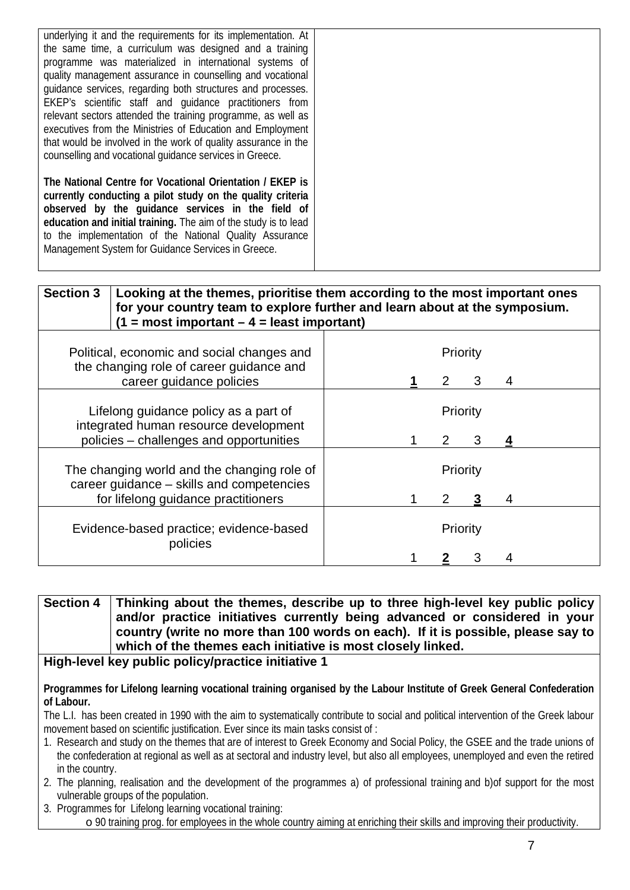| underlying it and the requirements for its implementation. At   |  |
|-----------------------------------------------------------------|--|
|                                                                 |  |
| the same time, a curriculum was designed and a training         |  |
| programme was materialized in international systems of          |  |
| quality management assurance in counselling and vocational      |  |
| quidance services, regarding both structures and processes.     |  |
| EKEP's scientific staff and quidance practitioners from         |  |
| relevant sectors attended the training programme, as well as    |  |
| executives from the Ministries of Education and Employment      |  |
| that would be involved in the work of quality assurance in the  |  |
|                                                                 |  |
| counselling and vocational quidance services in Greece.         |  |
|                                                                 |  |
| The National Centre for Vocational Orientation / EKEP is        |  |
| currently conducting a pilot study on the quality criteria      |  |
| observed by the guidance services in the field of               |  |
| education and initial training. The aim of the study is to lead |  |
|                                                                 |  |
| to the implementation of the National Quality Assurance         |  |
| Management System for Guidance Services in Greece.              |  |
|                                                                 |  |

| <b>Section 3</b> | Looking at the themes, prioritise them according to the most important ones<br>for your country team to explore further and learn about at the symposium.<br>$(1 = most important - 4 = least important)$ |          |   |   |
|------------------|-----------------------------------------------------------------------------------------------------------------------------------------------------------------------------------------------------------|----------|---|---|
|                  | Political, economic and social changes and                                                                                                                                                                | Priority |   |   |
|                  | the changing role of career guidance and<br>career guidance policies                                                                                                                                      | 2        | 3 | 4 |
|                  | Lifelong guidance policy as a part of<br>integrated human resource development                                                                                                                            | Priority |   |   |
|                  | policies - challenges and opportunities                                                                                                                                                                   | 2        | 3 |   |
|                  | The changing world and the changing role of<br>career guidance - skills and competencies                                                                                                                  | Priority |   |   |
|                  | for lifelong guidance practitioners                                                                                                                                                                       | 2        |   | 4 |
|                  | Evidence-based practice; evidence-based<br>policies                                                                                                                                                       | Priority |   |   |
|                  |                                                                                                                                                                                                           |          |   |   |

**Section 4 Thinking about the themes, describe up to three high-level key public policy and/or practice initiatives currently being advanced or considered in your country (write no more than 100 words on each). If it is possible, please say to which of the themes each initiative is most closely linked.**

## **High-level key public policy/practice initiative 1**

**Programmes for Lifelong learning vocational training organised by the Labour Institute of Greek General Confederation of Labour.**

The L.I. has been created in 1990 with the aim to systematically contribute to social and political intervention of the Greek labour movement based on scientific justification. Ever since its main tasks consist of :

- 1. Research and study on the themes that are of interest to Greek Economy and Social Policy, the GSEE and the trade unions of the confederation at regional as well as at sectoral and industry level, but also all employees, unemployed and even the retired in the country.
- 2. The planning, realisation and the development of the programmes a) of professional training and b)of support for the most vulnerable groups of the population.
- 3. Programmes for Lifelong learning vocational training:

o 90 training prog. for employees in the whole country aiming at enriching their skills and improving their productivity.